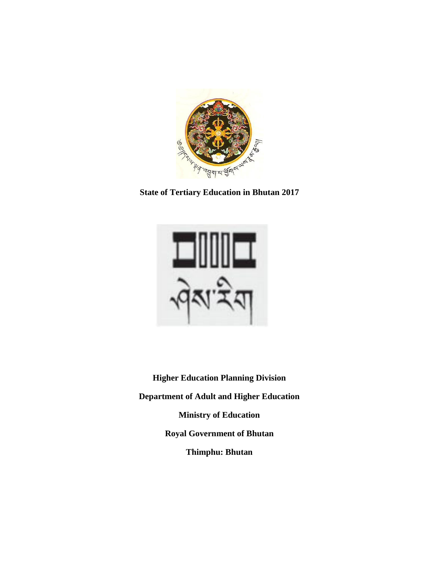

**State of Tertiary Education in Bhutan 2017**



**Higher Education Planning Division Department of Adult and Higher Education Ministry of Education Royal Government of Bhutan Thimphu: Bhutan**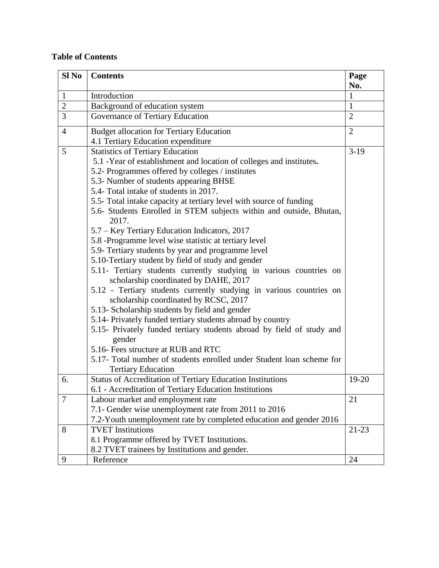## **Table of Contents**

| Sl <sub>No</sub> | <b>Contents</b>                                                                                              | Page<br>No.    |
|------------------|--------------------------------------------------------------------------------------------------------------|----------------|
| $\mathbf{1}$     | Introduction                                                                                                 | 1              |
| $\overline{2}$   | Background of education system                                                                               | $\mathbf{1}$   |
| 3                | Governance of Tertiary Education                                                                             | $\overline{2}$ |
| $\overline{4}$   | <b>Budget allocation for Tertiary Education</b>                                                              | $\overline{2}$ |
|                  | 4.1 Tertiary Education expenditure                                                                           |                |
| 5                | <b>Statistics of Tertiary Education</b>                                                                      | $3-19$         |
|                  | 5.1 -Year of establishment and location of colleges and institutes.                                          |                |
|                  | 5.2- Programmes offered by colleges / institutes                                                             |                |
|                  | 5.3- Number of students appearing BHSE                                                                       |                |
|                  | 5.4- Total intake of students in 2017.                                                                       |                |
|                  | 5.5- Total intake capacity at tertiary level with source of funding                                          |                |
|                  | 5.6- Students Enrolled in STEM subjects within and outside, Bhutan,<br>2017.                                 |                |
|                  | 5.7 – Key Tertiary Education Indicators, 2017                                                                |                |
|                  | 5.8 -Programme level wise statistic at tertiary level                                                        |                |
|                  | 5.9- Tertiary students by year and programme level                                                           |                |
|                  | 5.10-Tertiary student by field of study and gender                                                           |                |
|                  | 5.11- Tertiary students currently studying in various countries on<br>scholarship coordinated by DAHE, 2017  |                |
|                  | 5.12 - Tertiary students currently studying in various countries on<br>scholarship coordinated by RCSC, 2017 |                |
|                  | 5.13- Scholarship students by field and gender                                                               |                |
|                  | 5.14- Privately funded tertiary students abroad by country                                                   |                |
|                  | 5.15- Privately funded tertiary students abroad by field of study and                                        |                |
|                  | gender<br>5.16- Fees structure at RUB and RTC                                                                |                |
|                  | 5.17- Total number of students enrolled under Student loan scheme for                                        |                |
|                  | <b>Tertiary Education</b>                                                                                    |                |
| 6.               | Status of Accreditation of Tertiary Education Institutions                                                   | 19-20          |
|                  | 6.1 - Accreditation of Tertiary Education Institutions                                                       |                |
| $\overline{7}$   | Labour market and employment rate                                                                            | 21             |
|                  | 7.1- Gender wise unemployment rate from 2011 to 2016                                                         |                |
|                  | 7.2-Youth unemployment rate by completed education and gender 2016                                           |                |
| 8                | <b>TVET</b> Institutions                                                                                     | $21 - 23$      |
|                  | 8.1 Programme offered by TVET Institutions.                                                                  |                |
|                  | 8.2 TVET trainees by Institutions and gender.                                                                |                |
| 9                | Reference                                                                                                    | 24             |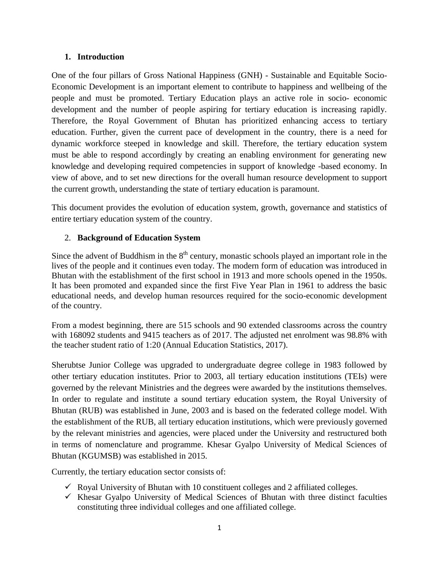### **1. Introduction**

One of the four pillars of Gross National Happiness (GNH) - Sustainable and Equitable Socio-Economic Development is an important element to contribute to happiness and wellbeing of the people and must be promoted. Tertiary Education plays an active role in socio- economic development and the number of people aspiring for tertiary education is increasing rapidly. Therefore, the Royal Government of Bhutan has prioritized enhancing access to tertiary education. Further, given the current pace of development in the country, there is a need for dynamic workforce steeped in knowledge and skill. Therefore, the tertiary education system must be able to respond accordingly by creating an enabling environment for generating new knowledge and developing required competencies in support of knowledge -based economy. In view of above, and to set new directions for the overall human resource development to support the current growth, understanding the state of tertiary education is paramount.

This document provides the evolution of education system, growth, governance and statistics of entire tertiary education system of the country.

### 2. **Background of Education System**

Since the advent of Buddhism in the  $8<sup>th</sup>$  century, monastic schools played an important role in the lives of the people and it continues even today. The modern form of education was introduced in Bhutan with the establishment of the first school in 1913 and more schools opened in the 1950s. It has been promoted and expanded since the first Five Year Plan in 1961 to address the basic educational needs, and develop human resources required for the socio-economic development of the country.

From a modest beginning, there are 515 schools and 90 extended classrooms across the country with 168092 students and 9415 teachers as of 2017. The adjusted net enrolment was 98.8% with the teacher student ratio of 1:20 (Annual Education Statistics, 2017).

Sherubtse Junior College was upgraded to undergraduate degree college in 1983 followed by other tertiary education institutes. Prior to 2003, all tertiary education institutions (TEIs) were governed by the relevant Ministries and the degrees were awarded by the institutions themselves. In order to regulate and institute a sound tertiary education system, [the Royal University of](http://www.rub.edu.bt/)  [Bhutan](http://www.rub.edu.bt/) (RUB) was established in June, 2003 and is based on the federated college model. With the establishment of the RUB, all tertiary education institutions, which were previously governed by the relevant ministries and agencies, were placed under the University and restructured both in terms of nomenclature and programme. Khesar Gyalpo University of Medical Sciences of Bhutan (KGUMSB) was established in 2015.

Currently, the tertiary education sector consists of:

- $\checkmark$  Royal University of Bhutan with 10 constituent colleges and 2 affiliated colleges.
- $\checkmark$  Khesar Gyalpo University of Medical Sciences of Bhutan with three distinct faculties constituting three individual colleges and one affiliated college.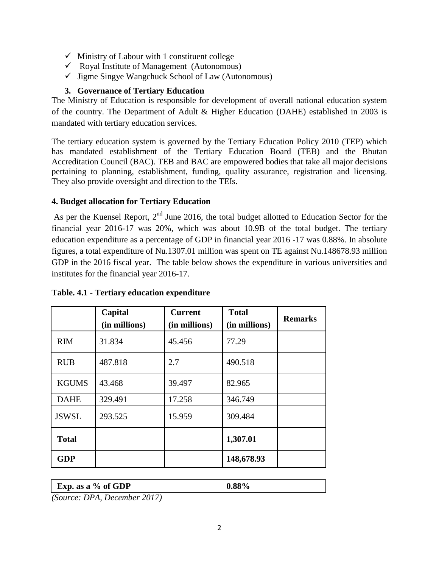- $\checkmark$  Ministry of Labour with 1 constituent college
- $\checkmark$  Royal Institute of Management (Autonomous)
- $\checkmark$  Jigme Singye Wangchuck School of Law (Autonomous)

## **3. Governance of Tertiary Education**

The Ministry of Education is responsible for development of overall national education system of the country. The Department of Adult & Higher Education (DAHE) established in 2003 is mandated with tertiary education services.

The tertiary education system is governed by the Tertiary Education Policy 2010 (TEP) which has mandated establishment of the Tertiary Education Board (TEB) and the Bhutan Accreditation Council (BAC). TEB and BAC are empowered bodies that take all major decisions pertaining to planning, establishment, funding, quality assurance, registration and licensing. They also provide oversight and direction to the TEIs.

## **4. Budget allocation for Tertiary Education**

As per the Kuensel Report,  $2<sup>nd</sup>$  June 2016, the total budget allotted to Education Sector for the financial year 2016-17 was 20%, which was about 10.9B of the total budget. The tertiary education expenditure as a percentage of GDP in financial year 2016 -17 was 0.88%. In absolute figures, a total expenditure of Nu.1307.01 million was spent on TE against Nu.148678.93 million GDP in the 2016 fiscal year. The table below shows the expenditure in various universities and institutes for the financial year 2016-17.

|                                | Capital<br>(in millions) | <b>Current</b><br>(in millions) | <b>Total</b><br>(in millions) | <b>Remarks</b> |
|--------------------------------|--------------------------|---------------------------------|-------------------------------|----------------|
| 31.834<br><b>RIM</b><br>45.456 |                          | 77.29                           |                               |                |
| <b>RUB</b>                     | 487.818                  | 2.7                             | 490.518                       |                |
| <b>KGUMS</b>                   | 43.468                   | 39.497                          | 82.965                        |                |
| <b>DAHE</b>                    | 329.491                  | 17.258                          | 346.749                       |                |
| <b>JSWSL</b>                   | 293.525                  | 15.959                          | 309.484                       |                |
| <b>Total</b>                   |                          |                                 | 1,307.01                      |                |
| <b>GDP</b>                     |                          |                                 | 148,678.93                    |                |

## **Table. 4.1 - Tertiary education expenditure**

**Exp. as a % of GDP** 0.88%

*(Source: DPA, December 2017)*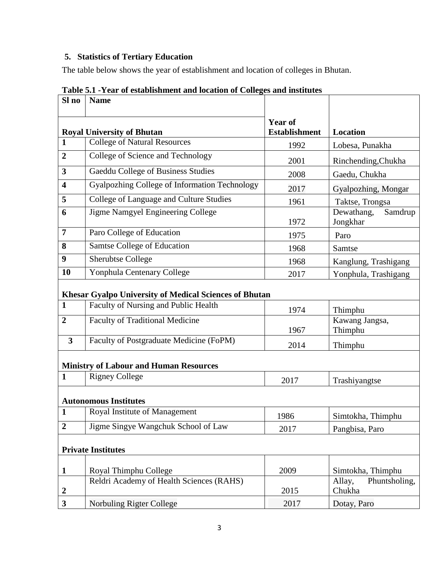## **5. Statistics of Tertiary Education**

The table below shows the year of establishment and location of colleges in Bhutan.

| Sl no                   | <b>Name</b>                                                   |                                        |                                   |
|-------------------------|---------------------------------------------------------------|----------------------------------------|-----------------------------------|
|                         | <b>Royal University of Bhutan</b>                             | <b>Year of</b><br><b>Establishment</b> | <b>Location</b>                   |
| $\mathbf{1}$            | College of Natural Resources                                  | 1992                                   | Lobesa, Punakha                   |
| 2                       | College of Science and Technology                             | 2001                                   | Rinchending, Chukha               |
| 3                       | Gaeddu College of Business Studies                            | 2008                                   | Gaedu, Chukha                     |
| 4                       | Gyalpozhing College of Information Technology                 | 2017                                   | Gyalpozhing, Mongar               |
| 5                       | College of Language and Culture Studies                       | 1961                                   | Taktse, Trongsa                   |
| 6                       | Jigme Namgyel Engineering College                             | 1972                                   | Samdrup<br>Dewathang,<br>Jongkhar |
| 7                       | Paro College of Education                                     | 1975                                   | Paro                              |
| 8                       | Samtse College of Education                                   | 1968                                   | Samtse                            |
| 9                       | <b>Sherubtse College</b>                                      | 1968                                   | Kanglung, Trashigang              |
| 10                      | Yonphula Centenary College                                    | 2017                                   | Yonphula, Trashigang              |
|                         | <b>Khesar Gyalpo University of Medical Sciences of Bhutan</b> |                                        |                                   |
| 1                       | Faculty of Nursing and Public Health                          | 1974                                   | Thimphu                           |
| $\overline{2}$          | Faculty of Traditional Medicine                               | 1967                                   | Kawang Jangsa,<br>Thimphu         |
| $\overline{\mathbf{3}}$ | Faculty of Postgraduate Medicine (FoPM)                       | 2014                                   | Thimphu                           |
|                         | <b>Ministry of Labour and Human Resources</b>                 |                                        |                                   |
| 1                       | <b>Rigney College</b>                                         | 2017                                   | Trashiyangtse                     |
|                         | <b>Autonomous Institutes</b>                                  |                                        |                                   |
| 1                       | Royal Institute of Management                                 | 1986                                   | Simtokha, Thimphu                 |
| $\boldsymbol{2}$        | Jigme Singye Wangchuk School of Law                           | 2017                                   | Pangbisa, Paro                    |
|                         | <b>Private Institutes</b>                                     |                                        |                                   |
| 1                       | Royal Thimphu College                                         | 2009                                   | Simtokha, Thimphu                 |
| 2                       | Reldri Academy of Health Sciences (RAHS)                      | 2015                                   | Phuntsholing,<br>Allay,<br>Chukha |
| 3                       | Norbuling Rigter College                                      | 2017                                   | Dotay, Paro                       |

**Table 5.1 -Year of establishment and location of Colleges and institutes**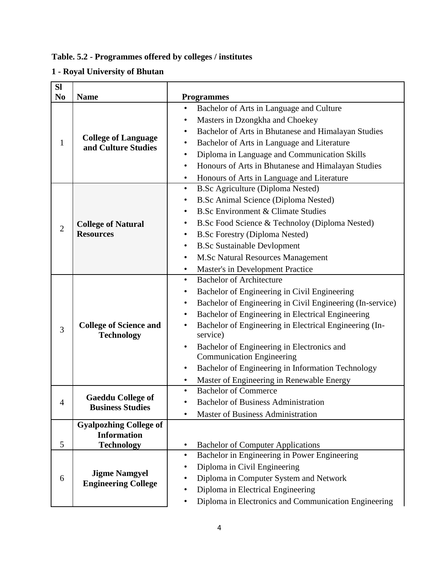## **Table. 5.2 - Programmes offered by colleges / institutes**

# **1 - Royal University of Bhutan**

| <b>SI</b>      |                                                     |                                                                        |
|----------------|-----------------------------------------------------|------------------------------------------------------------------------|
| N <sub>0</sub> | <b>Name</b>                                         | <b>Programmes</b>                                                      |
|                |                                                     | Bachelor of Arts in Language and Culture<br>$\bullet$                  |
|                |                                                     | Masters in Dzongkha and Choekey<br>٠                                   |
|                |                                                     | Bachelor of Arts in Bhutanese and Himalayan Studies<br>$\bullet$       |
| 1              | <b>College of Language</b><br>and Culture Studies   | Bachelor of Arts in Language and Literature<br>$\bullet$               |
|                |                                                     | Diploma in Language and Communication Skills<br>٠                      |
|                |                                                     | Honours of Arts in Bhutanese and Himalayan Studies<br>$\bullet$        |
|                |                                                     | Honours of Arts in Language and Literature<br>$\bullet$                |
|                |                                                     | <b>B.Sc Agriculture (Diploma Nested)</b><br>$\bullet$                  |
|                |                                                     | <b>B.Sc Animal Science (Diploma Nested)</b><br>$\bullet$               |
|                |                                                     | <b>B.Sc Environment &amp; Climate Studies</b><br>٠                     |
|                | <b>College of Natural</b>                           | B.Sc Food Science & Technoloy (Diploma Nested)<br>٠                    |
| $\overline{2}$ | <b>Resources</b>                                    | <b>B.Sc Forestry (Diploma Nested)</b><br>$\bullet$                     |
|                |                                                     | <b>B.Sc Sustainable Devlopment</b><br>٠                                |
|                |                                                     | <b>M.Sc Natural Resources Management</b><br>٠                          |
|                |                                                     | <b>Master's in Development Practice</b><br>$\bullet$                   |
|                | <b>College of Science and</b><br><b>Technology</b>  | <b>Bachelor of Architecture</b><br>$\bullet$                           |
|                |                                                     | Bachelor of Engineering in Civil Engineering<br>٠                      |
|                |                                                     | Bachelor of Engineering in Civil Engineering (In-service)<br>$\bullet$ |
|                |                                                     | Bachelor of Engineering in Electrical Engineering<br>$\bullet$         |
|                |                                                     | Bachelor of Engineering in Electrical Engineering (In-<br>٠            |
| 3              |                                                     | service)                                                               |
|                |                                                     | Bachelor of Engineering in Electronics and<br>$\bullet$                |
|                |                                                     | <b>Communication Engineering</b>                                       |
|                |                                                     | Bachelor of Engineering in Information Technology<br>$\bullet$         |
|                |                                                     | Master of Engineering in Renewable Energy<br>$\bullet$                 |
|                |                                                     | <b>Bachelor of Commerce</b>                                            |
|                | <b>Gaeddu College of</b><br><b>Business Studies</b> | <b>Bachelor of Business Administration</b>                             |
|                |                                                     | <b>Master of Business Administration</b><br>$\bullet$                  |
|                | <b>Gyalpozhing College of</b>                       |                                                                        |
|                | <b>Information</b>                                  |                                                                        |
| 5              | <b>Technology</b>                                   | <b>Bachelor of Computer Applications</b><br>$\bullet$                  |
| 6              |                                                     | Bachelor in Engineering in Power Engineering<br>$\bullet$              |
|                | <b>Jigme Namgyel</b><br><b>Engineering College</b>  | Diploma in Civil Engineering                                           |
|                |                                                     | Diploma in Computer System and Network                                 |
|                |                                                     | Diploma in Electrical Engineering<br>٠                                 |
|                |                                                     | Diploma in Electronics and Communication Engineering<br>٠              |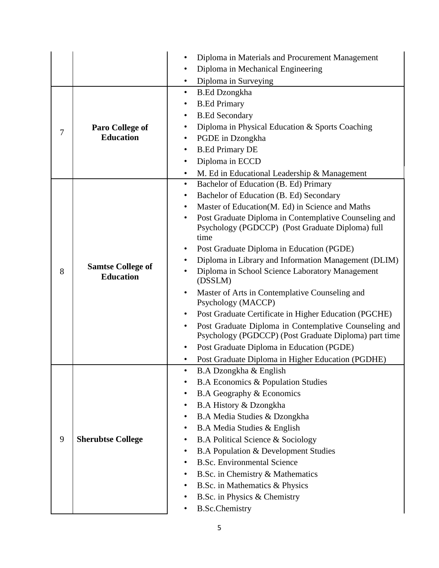|   |                                              | Diploma in Materials and Procurement Management<br>٠                                                                |
|---|----------------------------------------------|---------------------------------------------------------------------------------------------------------------------|
|   |                                              | Diploma in Mechanical Engineering<br>٠                                                                              |
|   |                                              | Diploma in Surveying<br>٠                                                                                           |
|   |                                              | <b>B.Ed Dzongkha</b><br>$\bullet$                                                                                   |
|   |                                              | <b>B.Ed Primary</b><br>٠                                                                                            |
|   |                                              | <b>B.Ed Secondary</b><br>$\bullet$                                                                                  |
|   | Paro College of<br><b>Education</b>          | Diploma in Physical Education & Sports Coaching<br>$\bullet$                                                        |
| 7 |                                              | PGDE in Dzongkha<br>٠                                                                                               |
|   |                                              | <b>B.Ed Primary DE</b><br>$\bullet$                                                                                 |
|   |                                              | Diploma in ECCD<br>$\bullet$                                                                                        |
|   |                                              | M. Ed in Educational Leadership & Management<br>$\bullet$                                                           |
|   |                                              | Bachelor of Education (B. Ed) Primary<br>$\bullet$                                                                  |
|   |                                              | Bachelor of Education (B. Ed) Secondary<br>$\bullet$                                                                |
|   |                                              | Master of Education(M. Ed) in Science and Maths<br>$\bullet$                                                        |
|   |                                              | Post Graduate Diploma in Contemplative Counseling and<br>Psychology (PGDCCP) (Post Graduate Diploma) full<br>time   |
|   |                                              | Post Graduate Diploma in Education (PGDE)<br>$\bullet$                                                              |
|   | <b>Samtse College of</b><br><b>Education</b> | Diploma in Library and Information Management (DLIM)                                                                |
| 8 |                                              | Diploma in School Science Laboratory Management<br>(DSSLM)                                                          |
|   |                                              | Master of Arts in Contemplative Counseling and<br>$\bullet$<br>Psychology (MACCP)                                   |
|   |                                              | Post Graduate Certificate in Higher Education (PGCHE)<br>٠                                                          |
|   |                                              | Post Graduate Diploma in Contemplative Counseling and<br>٠<br>Psychology (PGDCCP) (Post Graduate Diploma) part time |
|   |                                              | Post Graduate Diploma in Education (PGDE)                                                                           |
|   |                                              | Post Graduate Diploma in Higher Education (PGDHE)                                                                   |
|   |                                              | B.A Dzongkha & English<br>٠                                                                                         |
|   |                                              | <b>B.A Economics &amp; Population Studies</b>                                                                       |
|   |                                              | B.A Geography & Economics                                                                                           |
|   |                                              | B.A History & Dzongkha                                                                                              |
|   |                                              | B.A Media Studies & Dzongkha<br>٠                                                                                   |
|   |                                              | B.A Media Studies & English<br>٠                                                                                    |
| 9 | <b>Sherubtse College</b>                     | <b>B.A Political Science &amp; Sociology</b>                                                                        |
|   |                                              | <b>B.A Population &amp; Development Studies</b><br>$\bullet$                                                        |
|   |                                              | <b>B.Sc. Environmental Science</b>                                                                                  |
|   |                                              | B.Sc. in Chemistry & Mathematics                                                                                    |
|   |                                              | B.Sc. in Mathematics & Physics                                                                                      |
|   |                                              | B.Sc. in Physics & Chemistry                                                                                        |
|   |                                              | <b>B.Sc.Chemistry</b>                                                                                               |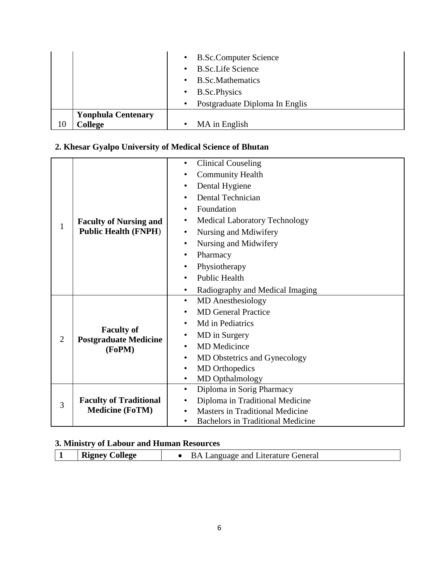|         | $\bullet$<br>$\bullet$<br>$\bullet$<br>$\bullet$ | <b>B.Sc.Computer Science</b><br><b>B.Sc.Life Science</b><br><b>B.Sc.Mathematics</b><br><b>B.Sc.Physics</b> |
|---------|--------------------------------------------------|------------------------------------------------------------------------------------------------------------|
| College | $\bullet$                                        | Postgraduate Diploma In Englis                                                                             |
| 10      | <b>Yonphula Centenary</b>                        | MA in English                                                                                              |

# **2. Khesar Gyalpo University of Medical Science of Bhutan**

|                | <b>Faculty of Nursing and</b><br><b>Public Health (FNPH)</b> | <b>Clinical Couseling</b><br>$\bullet$                |
|----------------|--------------------------------------------------------------|-------------------------------------------------------|
|                |                                                              | <b>Community Health</b><br>٠                          |
|                |                                                              | Dental Hygiene<br>٠                                   |
|                |                                                              | <b>Dental Technician</b><br>$\bullet$                 |
|                |                                                              | Foundation<br>$\bullet$                               |
|                |                                                              | <b>Medical Laboratory Technology</b><br>٠             |
| 1              |                                                              | Nursing and Mdiwifery<br>$\bullet$                    |
|                |                                                              | Nursing and Midwifery<br>$\bullet$                    |
|                |                                                              | Pharmacy<br>$\bullet$                                 |
|                |                                                              | Physiotherapy<br>$\bullet$                            |
|                |                                                              | <b>Public Health</b><br>$\bullet$                     |
|                |                                                              | Radiography and Medical Imaging<br>$\bullet$          |
|                | <b>Faculty of</b><br><b>Postgraduate Medicine</b><br>(FoPM)  | <b>MD</b> Anesthesiology<br>$\bullet$                 |
|                |                                                              | <b>MD</b> General Practice<br>$\bullet$               |
|                |                                                              | Md in Pediatrics<br>٠                                 |
| $\overline{2}$ |                                                              | MD in Surgery<br>$\bullet$                            |
|                |                                                              | <b>MD</b> Medicince<br>$\bullet$                      |
|                |                                                              | MD Obstetrics and Gynecology<br>$\bullet$             |
|                |                                                              | <b>MD</b> Orthopedics<br>$\bullet$                    |
|                |                                                              | MD Opthalmology<br>$\bullet$                          |
|                |                                                              | Diploma in Sorig Pharmacy<br>$\bullet$                |
| 3              | <b>Faculty of Traditional</b>                                | Diploma in Traditional Medicine<br>$\bullet$          |
|                | <b>Medicine (FoTM)</b>                                       | <b>Masters in Traditional Medicine</b><br>$\bullet$   |
|                |                                                              | <b>Bachelors in Traditional Medicine</b><br>$\bullet$ |

# **3. Ministry of Labour and Human Resources**

|  | <b>Rigney College</b> | <b>BA Language and Literature General</b> |  |
|--|-----------------------|-------------------------------------------|--|
|--|-----------------------|-------------------------------------------|--|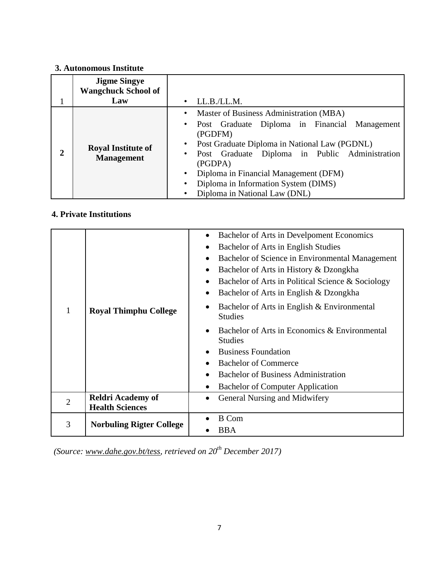## **3. Autonomous Institute**

|   | <b>Jigme Singye</b><br><b>Wangchuck School of</b><br>Law | LL.B./LL.M.<br>$\bullet$                                                                                                                                                                                                                                                                                                                                            |
|---|----------------------------------------------------------|---------------------------------------------------------------------------------------------------------------------------------------------------------------------------------------------------------------------------------------------------------------------------------------------------------------------------------------------------------------------|
| 2 | <b>Royal Institute of</b><br><b>Management</b>           | Master of Business Administration (MBA)<br>$\bullet$<br>Post Graduate Diploma in Financial Management<br>$\bullet$<br>(PGDFM)<br>Post Graduate Diploma in National Law (PGDNL)<br>Post Graduate Diploma in Public Administration<br>$\bullet$<br>(PGDPA)<br>Diploma in Financial Management (DFM)<br>$\bullet$<br>Diploma in Information System (DIMS)<br>$\bullet$ |
|   |                                                          | Diploma in National Law (DNL)                                                                                                                                                                                                                                                                                                                                       |

## **4. Private Institutions**

|                |                                 | Bachelor of Arts in Develpoment Economics<br>Bachelor of Arts in English Studies<br>Bachelor of Science in Environmental Management<br>Bachelor of Arts in History & Dzongkha<br>Bachelor of Arts in Political Science & Sociology<br>Bachelor of Arts in English & Dzongkha |
|----------------|---------------------------------|------------------------------------------------------------------------------------------------------------------------------------------------------------------------------------------------------------------------------------------------------------------------------|
| 1              | <b>Royal Thimphu College</b>    | Bachelor of Arts in English & Environmental<br><b>Studies</b>                                                                                                                                                                                                                |
|                |                                 | Bachelor of Arts in Economics & Environmental<br><b>Studies</b>                                                                                                                                                                                                              |
|                |                                 | <b>Business Foundation</b>                                                                                                                                                                                                                                                   |
|                |                                 | <b>Bachelor of Commerce</b>                                                                                                                                                                                                                                                  |
|                |                                 | <b>Bachelor of Business Administration</b>                                                                                                                                                                                                                                   |
|                |                                 | <b>Bachelor of Computer Application</b>                                                                                                                                                                                                                                      |
| $\overline{2}$ | <b>Reldri Academy of</b>        | General Nursing and Midwifery                                                                                                                                                                                                                                                |
|                | <b>Health Sciences</b>          |                                                                                                                                                                                                                                                                              |
| 3              |                                 | <b>B</b> Com                                                                                                                                                                                                                                                                 |
|                | <b>Norbuling Rigter College</b> | <b>BBA</b>                                                                                                                                                                                                                                                                   |

*(Source: [www.dahe.gov.bt/tess,](http://www.dahe.gov.bt/tess) retrieved on 20th December 2017)*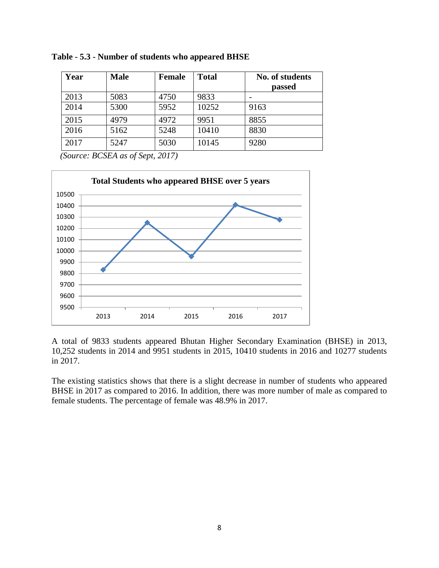| Year | <b>Male</b> | <b>Female</b> | <b>Total</b> | No. of students |
|------|-------------|---------------|--------------|-----------------|
|      |             |               |              | passed          |
| 2013 | 5083        | 4750          | 9833         |                 |
| 2014 | 5300        | 5952          | 10252        | 9163            |
| 2015 | 4979        | 4972          | 9951         | 8855            |
| 2016 | 5162        | 5248          | 10410        | 8830            |
| 2017 | 5247        | 5030          | 10145        | 9280            |

*(Source: BCSEA as of Sept, 2017)*



A total of 9833 students appeared Bhutan Higher Secondary Examination (BHSE) in 2013, 10,252 students in 2014 and 9951 students in 2015, 10410 students in 2016 and 10277 students in 2017.

The existing statistics shows that there is a slight decrease in number of students who appeared BHSE in 2017 as compared to 2016. In addition, there was more number of male as compared to female students. The percentage of female was 48.9% in 2017.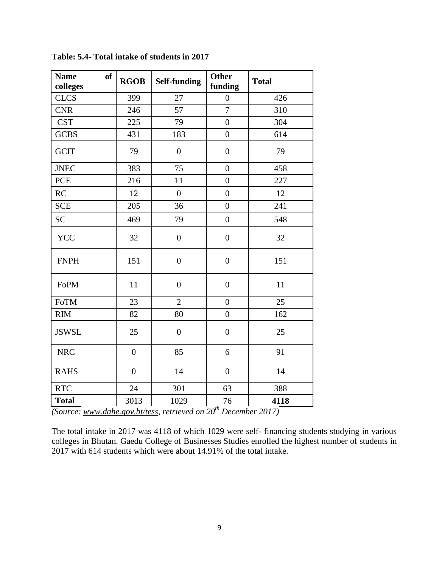| <b>Name</b><br><b>of</b><br>colleges | <b>RGOB</b>      | <b>Self-funding</b> | <b>Other</b><br>funding | <b>Total</b> |
|--------------------------------------|------------------|---------------------|-------------------------|--------------|
| <b>CLCS</b>                          | 399              | 27                  | $\boldsymbol{0}$        | 426          |
| <b>CNR</b>                           | 246              | 57                  | $\overline{7}$          | 310          |
| <b>CST</b>                           | 225              | 79                  | $\overline{0}$          | 304          |
| <b>GCBS</b>                          | 431              | 183                 | $\boldsymbol{0}$        | 614          |
| <b>GCIT</b>                          | 79               | $\mathbf{0}$        | $\boldsymbol{0}$        | 79           |
| <b>JNEC</b>                          | 383              | 75                  | $\overline{0}$          | 458          |
| <b>PCE</b>                           | 216              | 11                  | $\boldsymbol{0}$        | 227          |
| RC                                   | 12               | $\boldsymbol{0}$    | $\boldsymbol{0}$        | 12           |
| <b>SCE</b>                           | 205              | 36                  | $\overline{0}$          | 241          |
| <b>SC</b>                            | 469              | 79                  | $\overline{0}$          | 548          |
| <b>YCC</b>                           | 32               | $\boldsymbol{0}$    | $\boldsymbol{0}$        | 32           |
| <b>FNPH</b>                          | 151              | $\boldsymbol{0}$    | $\boldsymbol{0}$        | 151          |
| FoPM                                 | 11               | $\boldsymbol{0}$    | $\boldsymbol{0}$        | 11           |
| FoTM                                 | 23               | $\overline{2}$      | $\overline{0}$          | 25           |
| <b>RIM</b>                           | 82               | 80                  | $\boldsymbol{0}$        | 162          |
| <b>JSWSL</b>                         | 25               | $\boldsymbol{0}$    | $\boldsymbol{0}$        | 25           |
| <b>NRC</b>                           | $\boldsymbol{0}$ | 85                  | 6                       | 91           |
| <b>RAHS</b>                          | $\boldsymbol{0}$ | 14                  | $\boldsymbol{0}$        | 14           |
| <b>RTC</b>                           | 24               | 301                 | 63                      | 388          |
| <b>Total</b>                         | 3013             | 1029                | 76                      | 4118         |

**Table: 5.4- Total intake of students in 2017**

*(Source: [www.dahe.gov.bt/tess,](http://www.dahe.gov.bt/tess) retrieved on 20th December 2017)*

The total intake in 2017 was 4118 of which 1029 were self- financing students studying in various colleges in Bhutan. Gaedu College of Businesses Studies enrolled the highest number of students in 2017 with 614 students which were about 14.91% of the total intake.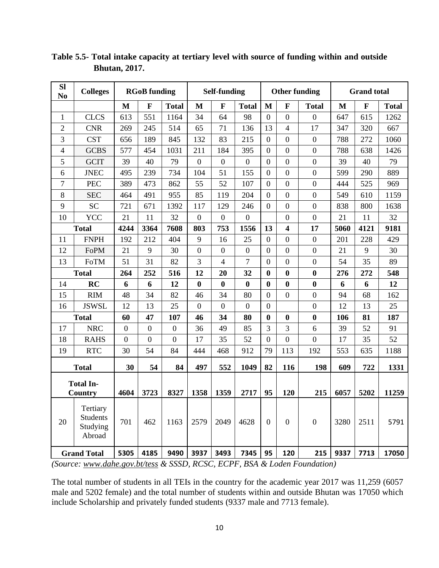| <b>Sl</b><br>N <sub>0</sub> | <b>Colleges</b>                                   | <b>RGoB</b> funding |                |                |                  | <b>Self-funding</b> |                  |                  | <b>Other funding</b>     |                  | <b>Grand</b> total |              |              |  |
|-----------------------------|---------------------------------------------------|---------------------|----------------|----------------|------------------|---------------------|------------------|------------------|--------------------------|------------------|--------------------|--------------|--------------|--|
|                             |                                                   | M                   | $\mathbf{F}$   | <b>Total</b>   | M                | $\mathbf F$         | <b>Total</b>     | M                | $\mathbf{F}$             | <b>Total</b>     | M                  | $\mathbf{F}$ | <b>Total</b> |  |
| $\mathbf{1}$                | <b>CLCS</b>                                       | 613                 | 551            | 1164           | 34               | 64                  | 98               | $\overline{0}$   | $\boldsymbol{0}$         | $\overline{0}$   | 647                | 615          | 1262         |  |
| $\overline{2}$              | <b>CNR</b>                                        | 269                 | 245            | 514            | 65               | 71                  | 136              | 13               | $\overline{\mathcal{A}}$ | 17               | 347                | 320          | 667          |  |
| 3                           | <b>CST</b>                                        | 656                 | 189            | 845            | 132              | 83                  | 215              | $\overline{0}$   | $\mathbf{0}$             | $\boldsymbol{0}$ | 788                | 272          | 1060         |  |
| 4                           | <b>GCBS</b>                                       | 577                 | 454            | 1031           | 211              | 184                 | 395              | $\overline{0}$   | $\mathbf{0}$             | $\overline{0}$   | 788                | 638          | 1426         |  |
| 5                           | <b>GCIT</b>                                       | 39                  | 40             | 79             | $\overline{0}$   | $\boldsymbol{0}$    | $\overline{0}$   | $\overline{0}$   | $\boldsymbol{0}$         | $\overline{0}$   | 39                 | 40           | 79           |  |
| 6                           | <b>JNEC</b>                                       | 495                 | 239            | 734            | 104              | 51                  | 155              | $\overline{0}$   | $\mathbf{0}$             | $\boldsymbol{0}$ | 599                | 290          | 889          |  |
| $\tau$                      | <b>PEC</b>                                        | 389                 | 473            | 862            | 55               | 52                  | 107              | $\overline{0}$   | $\overline{0}$           | $\overline{0}$   | 444                | 525          | 969          |  |
| 8                           | <b>SEC</b>                                        | 464                 | 491            | 955            | 85               | 119                 | 204              | $\overline{0}$   | $\boldsymbol{0}$         | $\overline{0}$   | 549                | 610          | 1159         |  |
| 9                           | <b>SC</b>                                         | 721                 | 671            | 1392           | 117              | 129                 | 246              | $\overline{0}$   | $\boldsymbol{0}$         | $\boldsymbol{0}$ | 838                | 800          | 1638         |  |
| 10                          | YCC                                               | 21                  | 11             | 32             | $\overline{0}$   | $\mathbf{0}$        | $\overline{0}$   |                  | $\overline{0}$           | $\overline{0}$   | 21                 | 11           | 32           |  |
|                             | <b>Total</b>                                      | 4244                | 3364           | 7608           | 803              | 753                 | 1556             | 13               | 4                        | 17               | 5060               | 4121         | 9181         |  |
| 11                          | <b>FNPH</b>                                       | 192                 | 212            | 404            | 9                | 16                  | 25               | $\overline{0}$   | $\overline{0}$           | $\overline{0}$   | 201                | 228          | 429          |  |
| 12                          | FoPM                                              | 21                  | 9              | 30             | $\overline{0}$   | $\boldsymbol{0}$    | $\overline{0}$   | $\boldsymbol{0}$ | $\mathbf{0}$             | $\overline{0}$   | 21                 | 9            | 30           |  |
| 13                          | FoTM                                              | 51                  | 31             | 82             | 3                | $\overline{4}$      | 7                | $\overline{0}$   | $\overline{0}$           | $\overline{0}$   | 54                 | 35           | 89           |  |
|                             | <b>Total</b>                                      | 264                 | 252            | 516            | 12               | 20                  | 32               | $\boldsymbol{0}$ | $\boldsymbol{0}$         | $\bf{0}$         | 276                | 272          | 548          |  |
| 14                          | RC                                                | 6                   | 6              | 12             | $\bf{0}$         | $\boldsymbol{0}$    | $\bf{0}$         | $\bf{0}$         | $\bf{0}$                 | $\boldsymbol{0}$ | 6                  | 6            | 12           |  |
| 15                          | <b>RIM</b>                                        | 48                  | 34             | 82             | 46               | 34                  | 80               | $\overline{0}$   | $\overline{0}$           | $\overline{0}$   | 94                 | 68           | 162          |  |
| 16                          | <b>JSWSL</b>                                      | 12                  | 13             | 25             | $\boldsymbol{0}$ | $\boldsymbol{0}$    | $\boldsymbol{0}$ | $\boldsymbol{0}$ |                          | $\mathbf{0}$     | 12                 | 13           | 25           |  |
|                             | <b>Total</b>                                      | 60                  | 47             | 107            | 46               | 34                  | 80               | $\bf{0}$         | $\bf{0}$                 | $\bf{0}$         | 106                | 81           | 187          |  |
| 17                          | <b>NRC</b>                                        | $\mathbf{0}$        | $\overline{0}$ | $\overline{0}$ | 36               | 49                  | 85               | 3                | 3                        | 6                | 39                 | 52           | 91           |  |
| 18                          | <b>RAHS</b>                                       | $\mathbf{0}$        | $\mathbf{0}$   | $\mathbf{0}$   | 17               | 35                  | 52               | $\overline{0}$   | $\mathbf{0}$             | $\boldsymbol{0}$ | 17                 | 35           | 52           |  |
| 19                          | <b>RTC</b>                                        | 30                  | 54             | 84             | 444              | 468                 | 912              | 79               | 113                      | 192              | 553                | 635          | 1188         |  |
|                             | <b>Total</b>                                      | 30                  | 54             | 84             | 497              | 552                 | 1049             | 82               | 116                      | 198              | 609                | 722          | 1331         |  |
|                             | <b>Total In-</b><br>Country                       | 4604                | 3723           | 8327           | 1358             | 1359                | 2717             | 95               | 120                      | 215              | 6057               | 5202         | 11259        |  |
| 20                          | Tertiary<br><b>Students</b><br>Studying<br>Abroad | 701                 | 462            | 1163           | 2579             | 2049                | 4628             | $\overline{0}$   | $\overline{0}$           | $\boldsymbol{0}$ | 3280               | 2511         | 5791         |  |
|                             | <b>Grand Total</b>                                | 5305                | 4185           | 9490           | 3937             | 3493                | 7345             | 95               | 120                      | 215              | 9337               | 7713         | 17050        |  |

**Table 5.5- Total intake capacity at tertiary level with source of funding within and outside Bhutan, 2017.**

*(Source: [www.dahe.gov.bt/tess](http://www.dahe.gov.bt/tess) & SSSD, RCSC, ECPF, BSA & Loden Foundation)*

The total number of students in all TEIs in the country for the academic year 2017 was 11,259 (6057 male and 5202 female) and the total number of students within and outside Bhutan was 17050 which include Scholarship and privately funded students (9337 male and 7713 female).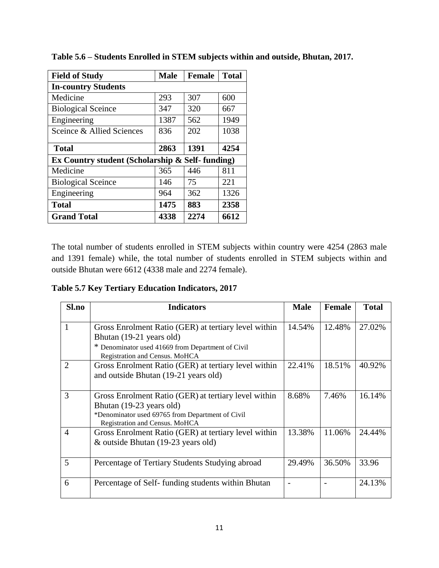| <b>Field of Study</b>                           | <b>Male</b> | <b>Female</b> | <b>Total</b> |
|-------------------------------------------------|-------------|---------------|--------------|
| <b>In-country Students</b>                      |             |               |              |
| Medicine                                        | 293         | 307           | 600          |
| <b>Biological Sceince</b>                       | 347         | 320           | 667          |
| Engineering                                     | 1387        | 562           | 1949         |
| Sceince & Allied Sciences                       | 836         | 202           | 1038         |
| <b>Total</b>                                    | 2863        | 1391          | 4254         |
| Ex Country student (Scholarship & Self-funding) |             |               |              |
| Medicine                                        | 365         | 446           | 811          |
| <b>Biological Sceince</b>                       | 146         | 75            | 221          |
| Engineering                                     | 964         | 362           | 1326         |
| <b>Total</b>                                    | 1475        | 883           | 2358         |
| <b>Grand Total</b>                              | 4338        | 2274          | 6612         |

**Table 5.6 – Students Enrolled in STEM subjects within and outside, Bhutan, 2017.**

The total number of students enrolled in STEM subjects within country were 4254 (2863 male and 1391 female) while, the total number of students enrolled in STEM subjects within and outside Bhutan were 6612 (4338 male and 2274 female).

**Table 5.7 Key Tertiary Education Indicators, 2017**

| Sl.no          | <b>Indicators</b>                                                                                                                                                       | <b>Male</b> | <b>Female</b> | <b>Total</b> |
|----------------|-------------------------------------------------------------------------------------------------------------------------------------------------------------------------|-------------|---------------|--------------|
| 1              | Gross Enrolment Ratio (GER) at tertiary level within<br>Bhutan (19-21 years old)<br>* Denominator used 41669 from Department of Civil<br>Registration and Census. MoHCA | 14.54%      | 12.48%        | 27.02%       |
| 2              | Gross Enrolment Ratio (GER) at tertiary level within<br>and outside Bhutan (19-21 years old)                                                                            | 22.41%      | 18.51%        | 40.92%       |
| 3              | Gross Enrolment Ratio (GER) at tertiary level within<br>Bhutan (19-23 years old)<br>*Denominator used 69765 from Department of Civil<br>Registration and Census. MoHCA  | 8.68%       | 7.46%         | 16.14%       |
| $\overline{4}$ | Gross Enrolment Ratio (GER) at tertiary level within<br>& outside Bhutan (19-23 years old)                                                                              | 13.38%      | 11.06%        | 24.44%       |
| 5              | Percentage of Tertiary Students Studying abroad                                                                                                                         | 29.49%      | 36.50%        | 33.96        |
| 6              | Percentage of Self- funding students within Bhutan                                                                                                                      |             |               | 24.13%       |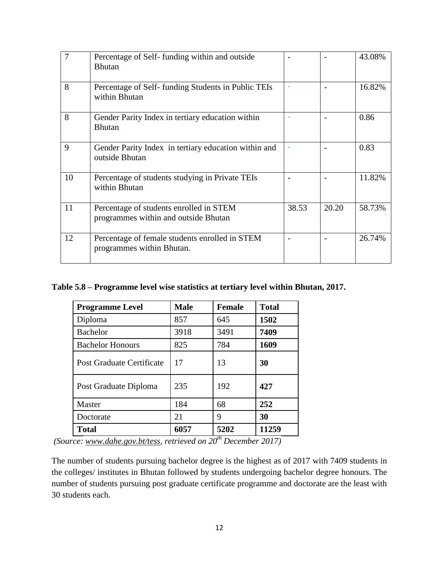| $\overline{7}$ | Percentage of Self-funding within and outside<br><b>Bhutan</b>                  |       |       | 43.08% |
|----------------|---------------------------------------------------------------------------------|-------|-------|--------|
| 8              | Percentage of Self-funding Students in Public TEIs<br>within Bhutan             |       |       | 16.82% |
| 8              | Gender Parity Index in tertiary education within<br><b>Bhutan</b>               |       |       | 0.86   |
| 9              | Gender Parity Index in tertiary education within and<br>outside Bhutan          |       |       | 0.83   |
| 10             | Percentage of students studying in Private TEIs<br>within Bhutan                |       |       | 11.82% |
| 11             | Percentage of students enrolled in STEM<br>programmes within and outside Bhutan | 38.53 | 20.20 | 58.73% |
| 12             | Percentage of female students enrolled in STEM<br>programmes within Bhutan.     |       |       | 26.74% |

**Table 5.8 – Programme level wise statistics at tertiary level within Bhutan, 2017.**

| <b>Programme Level</b>    | <b>Male</b> | <b>Female</b> | <b>Total</b> |
|---------------------------|-------------|---------------|--------------|
| Diploma                   | 857         | 645           | 1502         |
| <b>Bachelor</b>           | 3918        | 3491          | 7409         |
| <b>Bachelor Honours</b>   | 825         | 784           | 1609         |
| Post Graduate Certificate | 17          | 13            | 30           |
| Post Graduate Diploma     | 235         | 192           | 427          |
| Master                    | 184         | 68            | 252          |
| Doctorate                 | 21          | 9             | 30           |
| <b>Total</b>              | 6057        | 5202          | 11259        |

*(Source: [www.dahe.gov.bt/tess,](http://www.dahe.gov.bt/tess) retrieved on 20th December 2017)*

The number of students pursuing bachelor degree is the highest as of 2017 with 7409 students in the colleges/ institutes in Bhutan followed by students undergoing bachelor degree honours. The number of students pursuing post graduate certificate programme and doctorate are the least with 30 students each.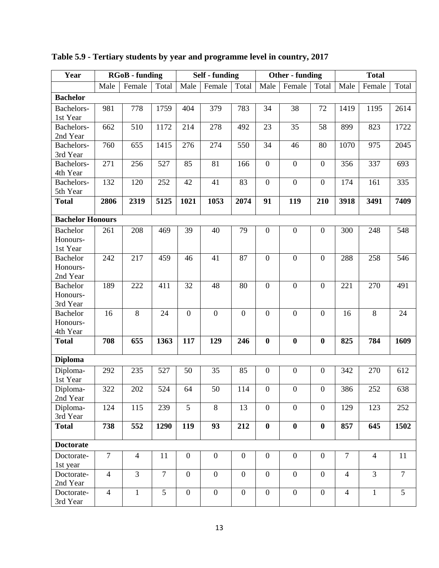| Year                    |                | <b>RGoB</b> - funding |                | <b>Self</b> - funding |                  |                  |                  | <b>Other</b> - funding |                  |                | <b>Total</b>   |                |  |  |
|-------------------------|----------------|-----------------------|----------------|-----------------------|------------------|------------------|------------------|------------------------|------------------|----------------|----------------|----------------|--|--|
|                         | Male           | Female                | Total          | Male                  | Female           | Total            | Male             | Total<br>Female        |                  |                | Female         | Total          |  |  |
| <b>Bachelor</b>         |                |                       |                |                       |                  |                  |                  |                        |                  |                |                |                |  |  |
| Bachelors-              | 981            | 778                   | 1759           | 404                   | 379              | 783              | 34               | 38                     | 72               | 1419           | 1195           | 2614           |  |  |
| 1st Year                |                |                       |                |                       |                  |                  |                  |                        |                  |                |                |                |  |  |
| Bachelors-              | 662            | 510                   | 1172           | 214                   | 278              | 492              | 23               | 35                     | 58               | 899            | 823            | 1722           |  |  |
| 2nd Year                |                |                       |                |                       |                  |                  |                  |                        |                  |                |                |                |  |  |
| Bachelors-              | 760            | 655                   | 1415           | 276                   | 274              | 550              | 34               | 46                     | 80               | 1070           | 975            | 2045           |  |  |
| 3rd Year                |                |                       |                |                       |                  |                  |                  |                        |                  |                |                |                |  |  |
| Bachelors-              | 271            | 256                   | 527            | 85                    | 81               | 166              | $\boldsymbol{0}$ | $\boldsymbol{0}$       | $\overline{0}$   | 356            | 337            | 693            |  |  |
| 4th Year                |                |                       |                |                       |                  |                  |                  |                        |                  |                |                |                |  |  |
| Bachelors-<br>5th Year  | 132            | 120                   | 252            | 42                    | 41               | 83               | $\boldsymbol{0}$ | $\boldsymbol{0}$       | $\boldsymbol{0}$ | 174            | 161            | 335            |  |  |
| <b>Total</b>            | 2806           | 2319                  | 5125           | 1021                  | 1053             | 2074             | 91               | 119                    | 210              | 3918           | 3491           | 7409           |  |  |
|                         |                |                       |                |                       |                  |                  |                  |                        |                  |                |                |                |  |  |
| <b>Bachelor Honours</b> |                |                       |                |                       |                  |                  |                  |                        |                  |                |                |                |  |  |
| <b>Bachelor</b>         | 261            | 208                   | 469            | 39                    | 40               | 79               | $\boldsymbol{0}$ | $\boldsymbol{0}$       | $\overline{0}$   | 300            | 248            | 548            |  |  |
| Honours-                |                |                       |                |                       |                  |                  |                  |                        |                  |                |                |                |  |  |
| 1st Year                |                |                       |                |                       |                  |                  |                  |                        |                  |                |                |                |  |  |
| <b>Bachelor</b>         | 242            | 217                   | 459            | 46                    | 41               | 87               | $\boldsymbol{0}$ | $\mathbf{0}$           | $\boldsymbol{0}$ | 288            | 258            | 546            |  |  |
| Honours-                |                |                       |                |                       |                  |                  |                  |                        |                  |                |                |                |  |  |
| 2nd Year                |                |                       |                |                       |                  |                  |                  |                        |                  |                |                |                |  |  |
| <b>Bachelor</b>         | 189            | 222                   | 411            | 32                    | 48               | 80               | $\boldsymbol{0}$ | $\mathbf{0}$           | $\boldsymbol{0}$ | 221            | 270            | 491            |  |  |
| Honours-                |                |                       |                |                       |                  |                  |                  |                        |                  |                |                |                |  |  |
| 3rd Year                |                |                       |                |                       |                  |                  |                  |                        |                  |                |                |                |  |  |
| <b>Bachelor</b>         | 16             | 8                     | 24             | $\mathbf{0}$          | $\mathbf{0}$     | $\overline{0}$   | $\boldsymbol{0}$ | $\mathbf{0}$           | $\overline{0}$   | 16             | 8              | 24             |  |  |
| Honours-<br>4th Year    |                |                       |                |                       |                  |                  |                  |                        |                  |                |                |                |  |  |
| <b>Total</b>            | 708            | 655                   | 1363           | 117                   | 129              | 246              | $\bf{0}$         | $\bf{0}$               | $\boldsymbol{0}$ | 825            | 784            | 1609           |  |  |
|                         |                |                       |                |                       |                  |                  |                  |                        |                  |                |                |                |  |  |
| <b>Diploma</b>          |                |                       |                |                       |                  |                  |                  |                        |                  |                |                |                |  |  |
| Diploma-                | 292            | 235                   | 527            | 50                    | 35               | 85               | $\boldsymbol{0}$ | $\boldsymbol{0}$       | $\boldsymbol{0}$ | 342            | 270            | 612            |  |  |
| 1st Year                |                |                       |                |                       |                  |                  |                  |                        |                  |                |                |                |  |  |
| Diploma-                | 322            | 202                   | 524            | 64                    | 50               | 114              | $\Omega$         | $\mathbf{0}$           | $\mathbf{0}$     | 386            | 252            | 638            |  |  |
| 2nd Year                |                |                       |                |                       |                  |                  |                  |                        |                  |                |                |                |  |  |
| Diploma-                | 124            | 115                   | 239            | $\overline{5}$        | $\overline{8}$   | 13               | $\boldsymbol{0}$ | $\overline{0}$         | $\overline{0}$   | 129            | 123            | 252            |  |  |
| 3rd Year                |                |                       |                |                       |                  |                  |                  |                        |                  |                |                |                |  |  |
| <b>Total</b>            | 738            | 552                   | 1290           | 119                   | 93               | 212              | $\bf{0}$         | $\bf{0}$               | $\bf{0}$         | 857            | 645            | 1502           |  |  |
| <b>Doctorate</b>        |                |                       |                |                       |                  |                  |                  |                        |                  |                |                |                |  |  |
| Doctorate-              | $\tau$         | $\overline{4}$        | 11             | $\overline{0}$        | $\boldsymbol{0}$ | $\boldsymbol{0}$ | $\mathbf{0}$     | $\boldsymbol{0}$       | $\boldsymbol{0}$ | $\tau$         | $\overline{4}$ | 11             |  |  |
| 1st year                |                |                       |                |                       |                  |                  |                  |                        |                  |                |                |                |  |  |
| Doctorate-              | $\overline{4}$ | $\overline{3}$        | $\overline{7}$ | $\overline{0}$        | $\overline{0}$   | $\boldsymbol{0}$ | $\boldsymbol{0}$ | $\boldsymbol{0}$       | $\boldsymbol{0}$ | $\overline{4}$ | $\overline{3}$ | $\overline{7}$ |  |  |
| 2nd Year                |                |                       |                |                       |                  |                  |                  |                        |                  |                |                |                |  |  |
| Doctorate-              | $\overline{4}$ | $\mathbf{1}$          | 5              | $\boldsymbol{0}$      | $\boldsymbol{0}$ | $\boldsymbol{0}$ | $\boldsymbol{0}$ | $\boldsymbol{0}$       | $\boldsymbol{0}$ | $\overline{4}$ | $\mathbf{1}$   | 5              |  |  |
| 3rd Year                |                |                       |                |                       |                  |                  |                  |                        |                  |                |                |                |  |  |

# **Table 5.9 - Tertiary students by year and programme level in country, 2017**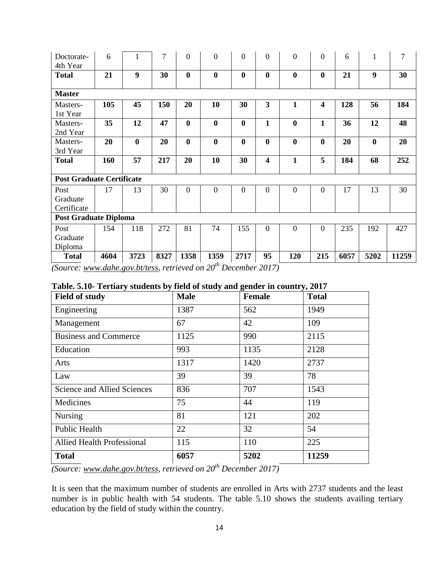| Doctorate-<br>4th Year           | 6    |          | 7    | $\mathbf{0}$     | $\overline{0}$ | $\overline{0}$   | $\overline{0}$          | $\overline{0}$ | $\mathbf{0}$            | 6    | 1        | 7     |
|----------------------------------|------|----------|------|------------------|----------------|------------------|-------------------------|----------------|-------------------------|------|----------|-------|
| <b>Total</b>                     | 21   | 9        | 30   | $\bf{0}$         | $\bf{0}$       | $\bf{0}$         | $\bf{0}$                | $\bf{0}$       | $\bf{0}$                | 21   | 9        | 30    |
| <b>Master</b>                    |      |          |      |                  |                |                  |                         |                |                         |      |          |       |
| Masters-<br>1st Year             | 105  | 45       | 150  | 20               | 10             | 30               | $\overline{\mathbf{3}}$ | 1              | $\overline{\mathbf{4}}$ | 128  | 56       | 184   |
| Masters-<br>2nd Year             | 35   | 12       | 47   | $\bf{0}$         | $\bf{0}$       | $\bf{0}$         | $\mathbf{1}$            | $\bf{0}$       | $\mathbf{1}$            | 36   | 12       | 48    |
| Masters-<br>3rd Year             | 20   | $\bf{0}$ | 20   | $\bf{0}$         | $\bf{0}$       | $\boldsymbol{0}$ | $\bf{0}$                | $\bf{0}$       | $\bf{0}$                | 20   | $\bf{0}$ | 20    |
| <b>Total</b>                     | 160  | 57       | 217  | 20               | 10             | 30               | $\overline{\mathbf{4}}$ | 1              | 5                       | 184  | 68       | 252   |
| <b>Post Graduate Certificate</b> |      |          |      |                  |                |                  |                         |                |                         |      |          |       |
| Post<br>Graduate<br>Certificate  | 17   | 13       | 30   | $\boldsymbol{0}$ | $\overline{0}$ | $\overline{0}$   | $\mathbf{0}$            | $\overline{0}$ | $\mathbf{0}$            | 17   | 13       | 30    |
| <b>Post Graduate Diploma</b>     |      |          |      |                  |                |                  |                         |                |                         |      |          |       |
| Post<br>Graduate<br>Diploma      | 154  | 118      | 272  | 81               | 74             | 155              | $\overline{0}$          | $\overline{0}$ | $\overline{0}$          | 235  | 192      | 427   |
| <b>Total</b>                     | 4604 | 3723     | 8327 | 1358             | 1359           | 2717             | 95                      | 120            | 215                     | 6057 | 5202     | 11259 |

*(Source: [www.dahe.gov.bt/tess,](http://www.dahe.gov.bt/tess) retrieved on 20th December 2017)*

| <b>Field of study</b>              | <b>Male</b> | Female | <b>Total</b> |
|------------------------------------|-------------|--------|--------------|
| Engineering                        | 1387        | 562    | 1949         |
| Management                         | 67          | 42     | 109          |
| <b>Business and Commerce</b>       | 1125        | 990    | 2115         |
| Education                          | 993         | 1135   | 2128         |
| Arts                               | 1317        | 1420   | 2737         |
| Law                                | 39          | 39     | 78           |
| <b>Science and Allied Sciences</b> | 836         | 707    | 1543         |
| Medicines                          | 75          | 44     | 119          |
| <b>Nursing</b>                     | 81          | 121    | 202          |
| Public Health                      | 22          | 32     | 54           |
| <b>Allied Health Professional</b>  | 115         | 110    | 225          |
| <b>Total</b>                       | 6057        | 5202   | 11259        |

|  |  |  |  | Table. 5.10- Tertiary students by field of study and gender in country, 2017 |
|--|--|--|--|------------------------------------------------------------------------------|
|  |  |  |  |                                                                              |

*(Source: [www.dahe.gov.bt/tess,](http://www.dahe.gov.bt/tess) retrieved on 20th December 2017)*

It is seen that the maximum number of students are enrolled in Arts with 2737 students and the least number is in public health with 54 students. The table 5.10 shows the students availing tertiary education by the field of study within the country.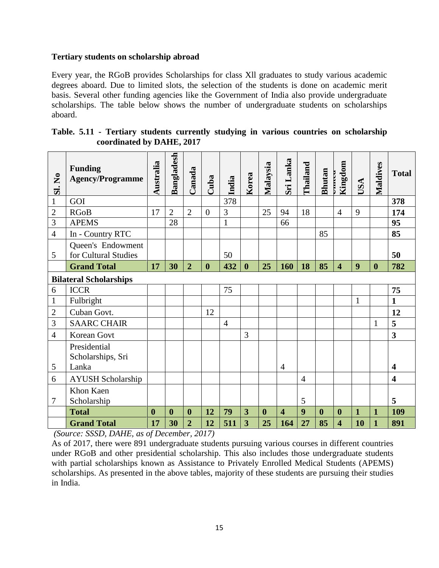#### **Tertiary students on scholarship abroad**

Every year, the RGoB provides Scholarships for class Xll graduates to study various academic degrees aboard. Due to limited slots, the selection of the students is done on academic merit basis. Several other funding agencies like the Government of India also provide undergraduate scholarships. The table below shows the number of undergraduate students on scholarships aboard.

| Table. 5.11 - Tertiary students currently studying in various countries on scholarship |  |  |  |  |
|----------------------------------------------------------------------------------------|--|--|--|--|
| coordinated by DAHE, 2017                                                              |  |  |  |  |

| $\mathbf{\Sigma}$<br><u>si</u>                                                                                                                                                                                                                                                                                                                                                                                                                                          | <b>Funding</b><br><b>Agency/Programme</b>  | Australia        | Bangladesh       | Canada           | Cuba             | India          | Korea                   | Malaysia         | Sri Lanka               | <b>Thailand</b> | <b>Bhutan</b>    | Kingdom<br><b>DERECO</b> | USA          | Maldives         | <b>Total</b>            |
|-------------------------------------------------------------------------------------------------------------------------------------------------------------------------------------------------------------------------------------------------------------------------------------------------------------------------------------------------------------------------------------------------------------------------------------------------------------------------|--------------------------------------------|------------------|------------------|------------------|------------------|----------------|-------------------------|------------------|-------------------------|-----------------|------------------|--------------------------|--------------|------------------|-------------------------|
| $\mathbf{1}$                                                                                                                                                                                                                                                                                                                                                                                                                                                            | GOI                                        |                  |                  |                  |                  | 378            |                         |                  |                         |                 |                  |                          |              |                  | 378                     |
| $\overline{2}$                                                                                                                                                                                                                                                                                                                                                                                                                                                          | <b>RGoB</b>                                | 17               | $\overline{2}$   | $\overline{2}$   | $\boldsymbol{0}$ | 3              |                         | 25               | 94                      | 18              |                  | $\overline{4}$           | 9            |                  | 174                     |
| 3                                                                                                                                                                                                                                                                                                                                                                                                                                                                       | <b>APEMS</b>                               |                  | 28               |                  |                  | $\mathbf{1}$   |                         |                  | 66                      |                 |                  |                          |              |                  | 95                      |
| $\overline{4}$                                                                                                                                                                                                                                                                                                                                                                                                                                                          | In - Country RTC                           |                  |                  |                  |                  |                |                         |                  |                         |                 | 85               |                          |              |                  | 85                      |
| 5                                                                                                                                                                                                                                                                                                                                                                                                                                                                       | Queen's Endowment<br>for Cultural Studies  |                  |                  |                  |                  | 50             |                         |                  |                         |                 |                  |                          |              |                  | 50                      |
|                                                                                                                                                                                                                                                                                                                                                                                                                                                                         | <b>Grand Total</b>                         | 17               | 30               | $\overline{2}$   | $\boldsymbol{0}$ | 432            | $\boldsymbol{0}$        | 25               | 160                     | 18              | 85               | 4                        | 9            | $\boldsymbol{0}$ | 782                     |
|                                                                                                                                                                                                                                                                                                                                                                                                                                                                         | <b>Bilateral Scholarships</b>              |                  |                  |                  |                  |                |                         |                  |                         |                 |                  |                          |              |                  |                         |
| 6                                                                                                                                                                                                                                                                                                                                                                                                                                                                       | <b>ICCR</b>                                |                  |                  |                  |                  | 75             |                         |                  |                         |                 |                  |                          |              |                  | 75                      |
| $\mathbf{1}$                                                                                                                                                                                                                                                                                                                                                                                                                                                            | Fulbright                                  |                  |                  |                  |                  |                |                         |                  |                         |                 |                  |                          | $\mathbf{1}$ |                  | $\mathbf{1}$            |
| $\overline{2}$                                                                                                                                                                                                                                                                                                                                                                                                                                                          | Cuban Govt.                                |                  |                  |                  | 12               |                |                         |                  |                         |                 |                  |                          |              |                  | 12                      |
| 3                                                                                                                                                                                                                                                                                                                                                                                                                                                                       | <b>SAARC CHAIR</b>                         |                  |                  |                  |                  | $\overline{4}$ |                         |                  |                         |                 |                  |                          |              | 1                | 5                       |
| $\overline{4}$                                                                                                                                                                                                                                                                                                                                                                                                                                                          | <b>Korean Govt</b>                         |                  |                  |                  |                  |                | 3                       |                  |                         |                 |                  |                          |              |                  | $\overline{\mathbf{3}}$ |
| 5                                                                                                                                                                                                                                                                                                                                                                                                                                                                       | Presidential<br>Scholarships, Sri<br>Lanka |                  |                  |                  |                  |                |                         |                  | $\overline{4}$          |                 |                  |                          |              |                  | $\overline{\mathbf{4}}$ |
| 6                                                                                                                                                                                                                                                                                                                                                                                                                                                                       | <b>AYUSH Scholarship</b>                   |                  |                  |                  |                  |                |                         |                  |                         | $\overline{4}$  |                  |                          |              |                  | $\overline{\mathbf{4}}$ |
| 7                                                                                                                                                                                                                                                                                                                                                                                                                                                                       | Khon Kaen<br>Scholarship                   |                  |                  |                  |                  |                |                         |                  |                         | 5               |                  |                          |              |                  | 5                       |
|                                                                                                                                                                                                                                                                                                                                                                                                                                                                         | <b>Total</b>                               | $\boldsymbol{0}$ | $\boldsymbol{0}$ | $\boldsymbol{0}$ | 12               | 79             | $\overline{\mathbf{3}}$ | $\boldsymbol{0}$ | $\overline{\mathbf{4}}$ | 9               | $\boldsymbol{0}$ | $\boldsymbol{0}$         | $\mathbf{1}$ | $\mathbf{1}$     | 109                     |
|                                                                                                                                                                                                                                                                                                                                                                                                                                                                         | <b>Grand Total</b>                         | 17               | 30               | $\overline{2}$   | 12               | 511            | $\overline{3}$          | 25               | 164                     | 27              | 85               | $\overline{\mathbf{4}}$  | 10           | $\mathbf{1}$     | 891                     |
| (Source: SSSD, DAHE, as of December, 2017)<br>As of 2017, there were 891 undergraduate students pursuing various courses in different countries<br>under RGoB and other presidential scholarship. This also includes those undergraduate students<br>with partial scholarships known as Assistance to Privately Enrolled Medical Students (APEMS)<br>scholarships. As presented in the above tables, majority of these students are pursuing their studies<br>in India. |                                            |                  |                  |                  |                  |                |                         |                  |                         |                 |                  |                          |              |                  |                         |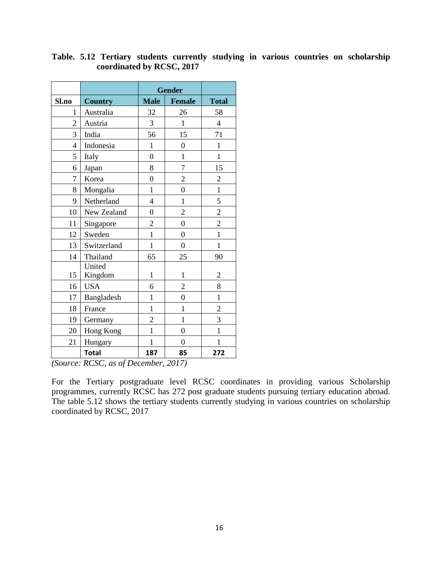|                |                   | <b>Gender</b>    |                  |                |
|----------------|-------------------|------------------|------------------|----------------|
| Sl.no          | <b>Country</b>    | <b>Male</b>      | <b>Female</b>    | <b>Total</b>   |
| $\mathbf{1}$   | Australia         | 32               | 26               | 58             |
| $\overline{2}$ | Austria           | $\overline{3}$   | 1                | $\overline{4}$ |
| 3              | India             | 56               | 15               | 71             |
| $\overline{4}$ | Indonesia         | $\mathbf{1}$     | $\overline{0}$   | $\mathbf{1}$   |
| 5              | Italy             | $\boldsymbol{0}$ | 1                | $\mathbf{1}$   |
| 6              | Japan             | 8                | $\overline{7}$   | 15             |
| 7              | Korea             | $\boldsymbol{0}$ | $\overline{2}$   | $\overline{2}$ |
| 8              | Mongalia          | $\mathbf{1}$     | $\overline{0}$   | $\mathbf{1}$   |
| 9              | Netherland        | $\overline{4}$   | $\mathbf{1}$     | 5              |
| 10             | New Zealand       | $\boldsymbol{0}$ | $\overline{2}$   | $\overline{c}$ |
| 11             | Singapore         | $\mathbf{2}$     | $\mathbf{0}$     | $\overline{c}$ |
| 12             | Sweden            | $\mathbf{1}$     | $\boldsymbol{0}$ | $\mathbf{1}$   |
| 13             | Switzerland       | $\mathbf{1}$     | $\boldsymbol{0}$ | $\mathbf{1}$   |
| 14             | Thailand          | 65               | 25               | 90             |
| 15             | United<br>Kingdom | $\mathbf{1}$     | $\mathbf{1}$     | $\overline{c}$ |
| 16             | <b>USA</b>        | 6                | $\overline{c}$   | 8              |
| 17             | Bangladesh        | $\mathbf{1}$     | $\overline{0}$   | $\mathbf{1}$   |
| 18             | France            | $\mathbf{1}$     | $\mathbf{1}$     | $\overline{c}$ |
| 19             | Germany           | $\overline{2}$   | $\mathbf{1}$     | $\overline{3}$ |
| 20             | Hong Kong         | $\mathbf{1}$     | $\overline{0}$   | $\mathbf{1}$   |
| 21             | Hungary           | $\mathbf{1}$     | $\overline{0}$   | $\mathbf{1}$   |
|                | <b>Total</b>      | 187              | 85               | 272            |

## **Table. 5.12 Tertiary students currently studying in various countries on scholarship coordinated by RCSC, 2017**

*(Source: RCSC, as of December, 2017)*

For the Tertiary postgraduate level RCSC coordinates in providing various Scholarship programmes, currently RCSC has 272 post graduate students pursuing tertiary education abroad. The table 5.12 shows the tertiary students currently studying in various countries on scholarship coordinated by RCSC, 2017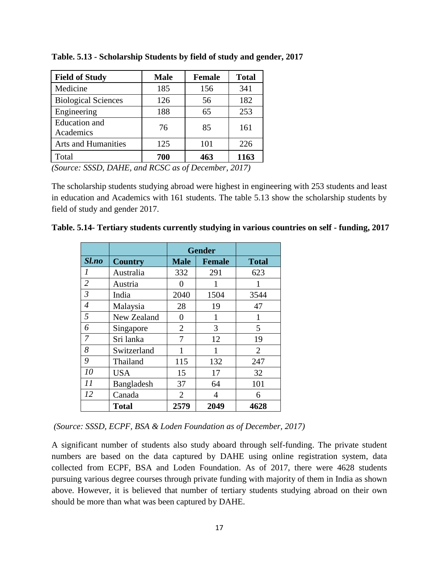| <b>Field of Study</b>             | <b>Male</b> | <b>Female</b> | <b>Total</b> |
|-----------------------------------|-------------|---------------|--------------|
| Medicine                          | 185         | 156           | 341          |
| <b>Biological Sciences</b>        | 126         | 56            | 182          |
| Engineering                       | 188         | 65            | 253          |
| <b>Education</b> and<br>Academics | 76          | 85            | 161          |
| <b>Arts and Humanities</b>        | 125         | 101           | 226          |
| Total                             | 700         | 463           | 1163         |

**Table. 5.13 - Scholarship Students by field of study and gender, 2017**

*(Source: SSSD, DAHE, and RCSC as of December, 2017)*

The scholarship students studying abroad were highest in engineering with 253 students and least in education and Academics with 161 students. The table 5.13 show the scholarship students by field of study and gender 2017.

|                |                |                | <b>Gender</b> |                |
|----------------|----------------|----------------|---------------|----------------|
| Sl.no          | <b>Country</b> | <b>Male</b>    | <b>Female</b> | <b>Total</b>   |
| 1              | Australia      | 332            | 291           | 623            |
| $\overline{2}$ | Austria        | 0              | 1             | 1              |
| 3              | India          | 2040           | 1504          | 3544           |
| $\overline{4}$ | Malaysia       | 28             | 19            | 47             |
| 5              | New Zealand    | 0              | 1             | 1              |
| 6              | Singapore      | $\overline{2}$ | 3             | 5              |
| 7              | Sri lanka      | 7              | 12            | 19             |
| 8              | Switzerland    | 1              | 1             | $\overline{2}$ |
| 9              | Thailand       | 115            | 132           | 247            |
| 10             | <b>USA</b>     | 15             | 17            | 32             |
| 11             | Bangladesh     | 37             | 64            | 101            |
| 12             | Canada         | 2              | 4             | 6              |
|                | <b>Total</b>   | 2579           | 2049          | 4628           |

**Table. 5.14- Tertiary students currently studying in various countries on self - funding, 2017**

*(Source: SSSD, ECPF, BSA & Loden Foundation as of December, 2017)*

A significant number of students also study aboard through self-funding. The private student numbers are based on the data captured by DAHE using online registration system, data collected from ECPF, BSA and Loden Foundation. As of 2017, there were 4628 students pursuing various degree courses through private funding with majority of them in India as shown above. However, it is believed that number of tertiary students studying abroad on their own should be more than what was been captured by DAHE.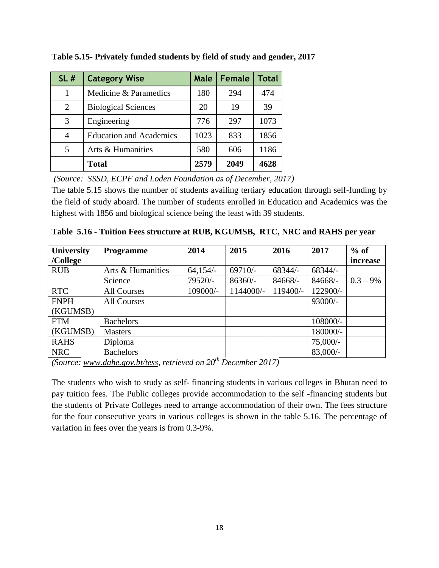| SL#            | <b>Category Wise</b>           | Male | Female | Total |
|----------------|--------------------------------|------|--------|-------|
| 1              | Medicine & Paramedics          | 180  | 294    | 474   |
| 2              | <b>Biological Sciences</b>     | 20   | 19     | 39    |
| 3              | Engineering                    | 776  | 297    | 1073  |
| 4              | <b>Education and Academics</b> | 1023 | 833    | 1856  |
| $\overline{5}$ | Arts & Humanities              | 580  | 606    | 1186  |
|                | <b>Total</b>                   | 2579 | 2049   | 4628  |

**Table 5.15- Privately funded students by field of study and gender, 2017**

*(Source: SSSD, ECPF and Loden Foundation as of December, 2017)*

The table 5.15 shows the number of students availing tertiary education through self-funding by the field of study aboard. The number of students enrolled in Education and Academics was the highest with 1856 and biological science being the least with 39 students.

| University  | <b>Programme</b>   | 2014       | 2015      | 2016      | 2017       | $%$ of      |
|-------------|--------------------|------------|-----------|-----------|------------|-------------|
| /College    |                    |            |           |           |            | increase    |
| <b>RUB</b>  | Arts & Humanities  | $64,154/-$ | $69710/-$ | 68344/-   | 68344/-    |             |
|             | Science            | 79520/-    | $86360/-$ | $84668/-$ | 84668/-    | $0.3 - 9\%$ |
| <b>RTC</b>  | <b>All Courses</b> | 109000/-   | 1144000/- | 119400/-  | 122900/-   |             |
| <b>FNPH</b> | <b>All Courses</b> |            |           |           | 93000/-    |             |
| (KGUMSB)    |                    |            |           |           |            |             |
| <b>FTM</b>  | <b>Bachelors</b>   |            |           |           | 108000/-   |             |
| (KGUMSB)    | <b>Masters</b>     |            |           |           | 180000/-   |             |
| <b>RAHS</b> | Diploma            |            |           |           | $75,000/-$ |             |
| <b>NRC</b>  | <b>Bachelors</b>   |            |           |           | $83,000/-$ |             |

**Table 5.16 - Tuition Fees structure at RUB, KGUMSB, RTC, NRC and RAHS per year**

*(Source: [www.dahe.gov.bt/tess,](http://www.dahe.gov.bt/tess) retrieved on 20th December 2017)*

The students who wish to study as self- financing students in various colleges in Bhutan need to pay tuition fees. The Public colleges provide accommodation to the self -financing students but the students of Private Colleges need to arrange accommodation of their own. The fees structure for the four consecutive years in various colleges is shown in the table 5.16. The percentage of variation in fees over the years is from 0.3-9%.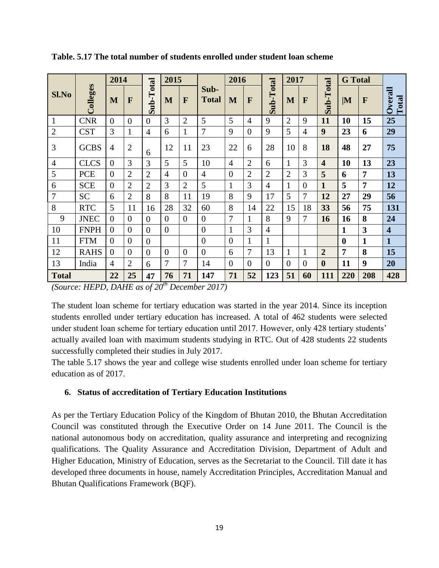|                |              | 2014                               |                |                | 2015                    |                    |                             | 2016           |                |                | 2017           |                |                         | <b>G</b> Total   |                         |                         |
|----------------|--------------|------------------------------------|----------------|----------------|-------------------------|--------------------|-----------------------------|----------------|----------------|----------------|----------------|----------------|-------------------------|------------------|-------------------------|-------------------------|
| <b>Sl.No</b>   | Colleges     | M                                  | F              | Sub-Total      | M                       | F                  | Sub-<br><b>Total</b>        | M              | F              | Sub-Total      | M              | F              | Sub-Total               | $ \mathbf{M} $   | F                       | Overall<br>Total        |
| $\mathbf{1}$   | <b>CNR</b>   | $\Omega$                           | $\overline{0}$ | $\overline{0}$ | 3                       | $\overline{2}$     | 5                           | 5              | $\overline{4}$ | 9              | $\overline{2}$ | 9              | 11                      | 10               | 15                      | 25                      |
| $\overline{2}$ | <b>CST</b>   | 3                                  | 1              | $\overline{4}$ | 6                       | $\mathbf{1}$       | 7                           | 9              | $\overline{0}$ | 9              | 5              | 4              | 9                       | 23               | 6                       | 29                      |
| 3              | <b>GCBS</b>  | $\overline{4}$                     | 2              | 6              | 12                      | 11                 | 23                          | 22             | 6              | 28             | 10             | 8              | 18                      | 48               | 27                      | 75                      |
| $\overline{4}$ | <b>CLCS</b>  | $\overline{0}$                     | 3              | 3              | 5                       | 5                  | 10                          | $\overline{4}$ | $\overline{2}$ | 6              | $\mathbf{1}$   | 3              | $\overline{\mathbf{4}}$ | 10               | 13                      | 23                      |
| 5              | <b>PCE</b>   | $\theta$                           | $\overline{2}$ | $\overline{2}$ | $\overline{4}$          | $\overline{0}$     | $\overline{4}$              | $\overline{0}$ | $\overline{2}$ | $\overline{2}$ | $\overline{2}$ | 3              | 5                       | 6                | 7                       | 13                      |
| 6              | <b>SCE</b>   | $\overline{0}$                     | $\overline{2}$ | $\overline{2}$ | 3                       | $\overline{2}$     | 5                           | $\mathbf{1}$   | 3              | $\overline{4}$ | 1              | $\overline{0}$ | $\mathbf{1}$            | 5                | $\overline{7}$          | 12                      |
| $\overline{7}$ | <b>SC</b>    | 6                                  | $\overline{2}$ | 8              | 8                       | 11                 | 19                          | 8              | 9              | 17             | 5              | 7              | 12                      | 27               | 29                      | 56                      |
| 8              | <b>RTC</b>   | 5                                  | 11             | 16             | 28                      | 32                 | 60                          | 8              | 14             | 22             | 15             | 18             | 33                      | 56               | 75                      | 131                     |
| 9              | <b>JNEC</b>  | $\theta$                           | $\overline{0}$ | $\overline{0}$ | $\overline{0}$          | $\overline{0}$     | $\overline{0}$              | 7              | $\mathbf{1}$   | 8              | 9              | 7              | 16                      | 16               | 8                       | 24                      |
| 10             | <b>FNPH</b>  | $\Omega$                           | $\overline{0}$ | $\overline{0}$ | $\theta$                |                    | $\boldsymbol{0}$            | $\mathbf{1}$   | 3              | $\overline{4}$ |                |                |                         | 1                | $\overline{\mathbf{3}}$ | $\overline{\mathbf{4}}$ |
| 11             | <b>FTM</b>   | $\Omega$                           | $\overline{0}$ | $\overline{0}$ |                         |                    | $\overline{0}$              | $\overline{0}$ | $\mathbf{1}$   | $\mathbf{1}$   |                |                |                         | $\boldsymbol{0}$ | $\mathbf{1}$            | $\mathbf{1}$            |
| 12             | <b>RAHS</b>  | $\theta$                           | $\overline{0}$ | $\overline{0}$ | $\mathbf{0}$            | $\overline{0}$     | $\boldsymbol{0}$            | 6              | 7              | 13             | 1              | $\mathbf{1}$   | $\overline{2}$          | 7                | 8                       | 15                      |
| 13             | India        | 4                                  | $\overline{2}$ | 6              | 7                       | $\overline{7}$     | 14                          | $\overline{0}$ | $\overline{0}$ | $\overline{0}$ | $\overline{0}$ | $\overline{0}$ | $\boldsymbol{0}$        | 11               | 9                       | 20                      |
| <b>Total</b>   | $\mathbf{r}$ | 22<br>$\mathbf{r}$ is $\mathbf{r}$ | 25             | 47             | 76<br>$\cos \alpha t h$ | 71<br>$\mathbf{r}$ | 147<br>$\sim$ $\sim$ $\sim$ | 71             | 52             | 123            | 51             | 60             | 111                     | 220              | 208                     | 428                     |

**Table. 5.17 The total number of students enrolled under student loan scheme**

*(Source: HEPD, DAHE as of 20th December 2017)*

The student loan scheme for tertiary education was started in the year 2014. Since its inception students enrolled under tertiary education has increased. A total of 462 students were selected under student loan scheme for tertiary education until 2017. However, only 428 tertiary students' actually availed loan with maximum students studying in RTC. Out of 428 students 22 students successfully completed their studies in July 2017.

The table 5.17 shows the year and college wise students enrolled under loan scheme for tertiary education as of 2017.

#### **6. Status of accreditation of Tertiary Education Institutions**

As per the Tertiary Education Policy of the Kingdom of Bhutan 2010, the Bhutan Accreditation Council was constituted through the Executive Order on 14 June 2011. The Council is the national autonomous body on accreditation, quality assurance and interpreting and recognizing qualifications. The Quality Assurance and Accreditation Division, Department of Adult and Higher Education, Ministry of Education, serves as the Secretariat to the Council. Till date it has developed three documents in house, namely Accreditation Principles, Accreditation Manual and Bhutan Qualifications Framework (BQF).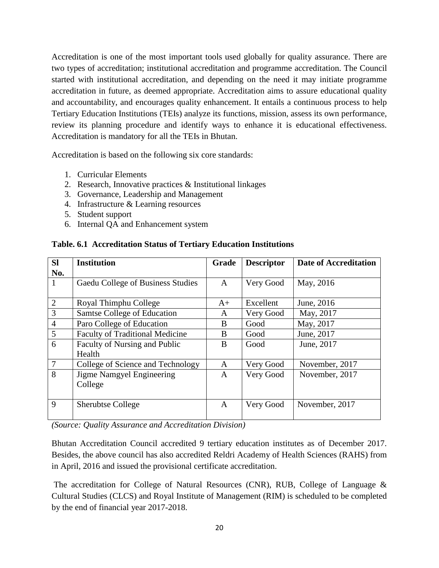Accreditation is one of the most important tools used globally for quality assurance. There are two types of accreditation; institutional accreditation and programme accreditation. The Council started with institutional accreditation, and depending on the need it may initiate programme accreditation in future, as deemed appropriate. Accreditation aims to assure educational quality and accountability, and encourages quality enhancement. It entails a continuous process to help Tertiary Education Institutions (TEIs) analyze its functions, mission, assess its own performance, review its planning procedure and identify ways to enhance it is educational effectiveness. Accreditation is mandatory for all the TEIs in Bhutan.

Accreditation is based on the following six core standards:

- 1. Curricular Elements
- 2. Research, Innovative practices & Institutional linkages
- 3. Governance, Leadership and Management
- 4. Infrastructure & Learning resources
- 5. Student support
- 6. Internal QA and Enhancement system

| <b>SI</b>      | <b>Institution</b>                     | Grade        | <b>Descriptor</b> | <b>Date of Accreditation</b> |
|----------------|----------------------------------------|--------------|-------------------|------------------------------|
| No.            |                                        |              |                   |                              |
| 1              | Gaedu College of Business Studies      | $\mathsf{A}$ | Very Good         | May, 2016                    |
|                |                                        |              |                   |                              |
| $\overline{2}$ | Royal Thimphu College                  | $A+$         | Excellent         | June, 2016                   |
| $\overline{3}$ | Samtse College of Education            | A            | Very Good         | May, 2017                    |
| $\overline{4}$ | Paro College of Education              | B            | Good              | May, 2017                    |
| 5              | <b>Faculty of Traditional Medicine</b> | B            | Good              | June, 2017                   |
| 6              | Faculty of Nursing and Public          | B            | Good              | June, 2017                   |
|                | Health                                 |              |                   |                              |
| $\tau$         | College of Science and Technology      | A            | Very Good         | November, 2017               |
| 8              | Jigme Namgyel Engineering              | A            | Very Good         | November, 2017               |
|                | College                                |              |                   |                              |
|                |                                        |              |                   |                              |
| 9              | <b>Sherubtse College</b>               | A            | Very Good         | November, 2017               |
|                |                                        |              |                   |                              |

#### **Table. 6.1 Accreditation Status of Tertiary Education Institutions**

*(Source: Quality Assurance and Accreditation Division)*

Bhutan Accreditation Council accredited 9 tertiary education institutes as of December 2017. Besides, the above council has also accredited Reldri Academy of Health Sciences (RAHS) from in April, 2016 and issued the provisional certificate accreditation.

The accreditation for College of Natural Resources (CNR), RUB, College of Language & Cultural Studies (CLCS) and Royal Institute of Management (RIM) is scheduled to be completed by the end of financial year 2017-2018.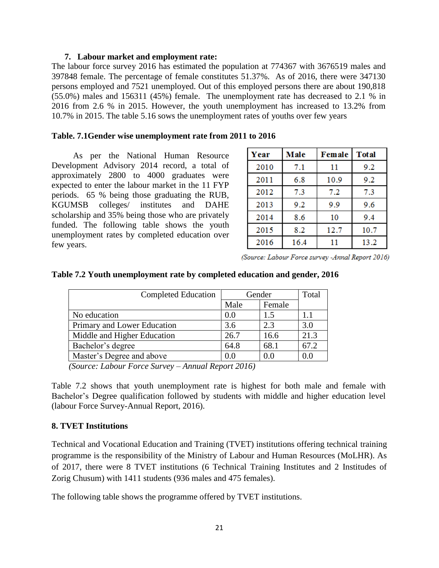#### **7. Labour market and employment rate:**

The labour force survey 2016 has estimated the population at 774367 with 3676519 males and 397848 female. The percentage of female constitutes 51.37%. As of 2016, there were 347130 persons employed and 7521 unemployed. Out of this employed persons there are about 190,818 (55.0%) males and 156311 (45%) female. The unemployment rate has decreased to 2.1 % in 2016 from 2.6 % in 2015. However, the youth unemployment has increased to 13.2% from 10.7% in 2015. The table 5.16 sows the unemployment rates of youths over few years

#### **Table. 7.1Gender wise unemployment rate from 2011 to 2016**

As per the National Human Resource Development Advisory 2014 record, a total of approximately 2800 to 4000 graduates were expected to enter the labour market in the 11 FYP periods. 65 % being those graduating the RUB, KGUMSB colleges/ institutes and DAHE scholarship and 35% being those who are privately funded. The following table shows the youth unemployment rates by completed education over few years.

| Year | Male<br>Female |      | <b>Total</b> |
|------|----------------|------|--------------|
| 2010 | 7.1            | 11   | 9.2          |
| 2011 | 6.8            | 10.9 | 9.2          |
| 2012 | 7.3            | 7.2  | 7.3          |
| 2013 | 9.2            | 9.9  | 9.6          |
| 2014 | 8.6            | 10   | 9.4          |
| 2015 | 8.2            | 12.7 | 10.7         |
| 2016 | 16.4           | 11   | 13.2         |

(Source: Labour Force survey -Annal Report 2016)

| Completed Education         | Gender |        | Total |
|-----------------------------|--------|--------|-------|
|                             | Male   | Female |       |
| No education                | 0.0    | 1.5    | 1.1   |
| Primary and Lower Education | 3.6    | 2.3    | 3.0   |
| Middle and Higher Education | 26.7   | 16.6   | 21.3  |
| Bachelor's degree           | 64.8   | 68.1   | 67.2  |
| Master's Degree and above   | (0.0)  |        | 0.0   |

### **Table 7.2 Youth unemployment rate by completed education and gender, 2016**

 *(Source: Labour Force Survey – Annual Report 2016)*

Table 7.2 shows that youth unemployment rate is highest for both male and female with Bachelor's Degree qualification followed by students with middle and higher education level (labour Force Survey-Annual Report, 2016).

#### **8. TVET Institutions**

Technical and Vocational Education and Training (TVET) institutions offering technical training programme is the responsibility of the Ministry of Labour and Human Resources (MoLHR). As of 2017, there were 8 TVET institutions (6 Technical Training Institutes and 2 Institudes of Zorig Chusum) with 1411 students (936 males and 475 females).

The following table shows the programme offered by TVET institutions.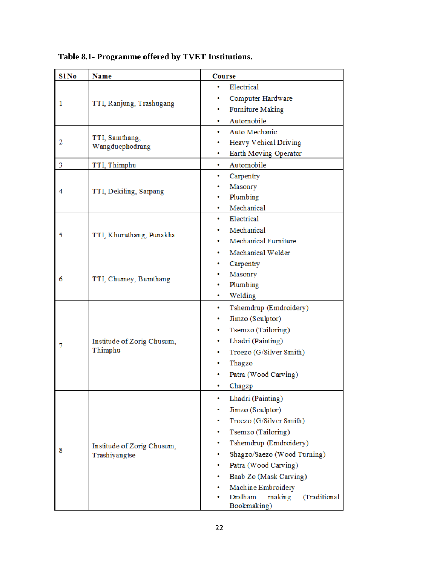| <b>S1No</b> | <b>Name</b>                           | <b>Course</b>                                         |  |  |  |  |  |
|-------------|---------------------------------------|-------------------------------------------------------|--|--|--|--|--|
|             | TTI, Ranjung, Trashugang              | Electrical<br>٠                                       |  |  |  |  |  |
| 1           |                                       | Computer Hardware                                     |  |  |  |  |  |
|             |                                       | <b>Furniture Making</b><br>٠                          |  |  |  |  |  |
|             |                                       | Automobile<br>۰                                       |  |  |  |  |  |
|             |                                       | Auto Mechanic<br>٠                                    |  |  |  |  |  |
| 2           | TTI, Samthang,<br>Wangduephodrang     | Heavy Vehical Driving                                 |  |  |  |  |  |
|             |                                       | Earth Moving Operator<br>٠                            |  |  |  |  |  |
| 3           | TTI, Thimphu                          | Automobile<br>٠                                       |  |  |  |  |  |
|             |                                       | Carpentry<br>۰                                        |  |  |  |  |  |
| 4           | TTI, Dekiling, Sarpang                | Masonry                                               |  |  |  |  |  |
|             |                                       | Plumbing<br>۰                                         |  |  |  |  |  |
|             |                                       | Mechanical<br>۰                                       |  |  |  |  |  |
|             |                                       | Electrical<br>$\bullet$                               |  |  |  |  |  |
| 5           | TTI, Khuruthang, Punakha              | Mechanical                                            |  |  |  |  |  |
|             |                                       | Mechanical Furniture<br>۰                             |  |  |  |  |  |
|             |                                       | Mechanical Welder<br>۰                                |  |  |  |  |  |
| 6           |                                       | Carpentry<br>٠                                        |  |  |  |  |  |
|             | TTI, Chumey, Bumthang                 | Masonry                                               |  |  |  |  |  |
|             |                                       | Plumbing                                              |  |  |  |  |  |
|             |                                       | Welding<br>۰                                          |  |  |  |  |  |
|             |                                       | Tshemdrup (Emdroidery)<br>٠                           |  |  |  |  |  |
|             |                                       | Jimzo (Sculptor)<br>۰                                 |  |  |  |  |  |
|             | Institude of Zorig Chusum,<br>Thimphu | Tsemzo (Tailoring)<br>۰                               |  |  |  |  |  |
| 7           |                                       | Lhadri (Painting)<br>۰                                |  |  |  |  |  |
|             |                                       | Troezo (G/Silver Smith)<br>۰                          |  |  |  |  |  |
|             |                                       | Thagzo                                                |  |  |  |  |  |
|             |                                       | Patra (Wood Carving)                                  |  |  |  |  |  |
|             |                                       | Chagzp                                                |  |  |  |  |  |
|             |                                       | Lhadri (Painting)<br>۰                                |  |  |  |  |  |
|             |                                       | Jimzo (Sculptor)<br>۰                                 |  |  |  |  |  |
|             |                                       | Troezo (G/Silver Smith)                               |  |  |  |  |  |
|             |                                       | Tsemzo (Tailoring)<br>۰                               |  |  |  |  |  |
| 8           | Institude of Zorig Chusum,            | Tshemdrup (Emdroidery)<br>۰                           |  |  |  |  |  |
|             | Trashiyangtse                         | Shagzo/Saezo (Wood Turning)<br>۰                      |  |  |  |  |  |
|             |                                       | Patra (Wood Carving)                                  |  |  |  |  |  |
|             |                                       | Baab Zo (Mask Carving)<br>٠                           |  |  |  |  |  |
|             |                                       | Machine Embroidery                                    |  |  |  |  |  |
|             |                                       | Dralham<br>(Traditional<br>making<br>٠<br>Bookmaking) |  |  |  |  |  |

 **Table 8.1- Programme offered by TVET Institutions.**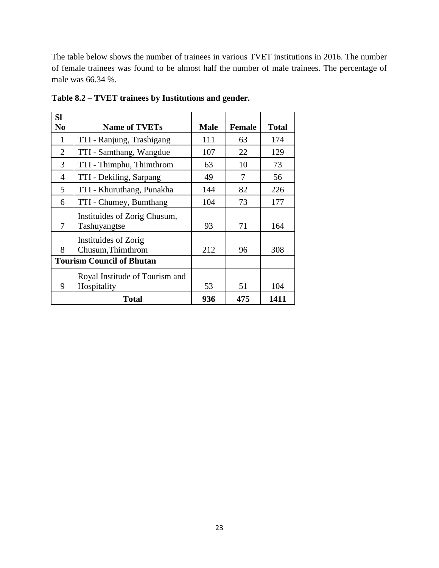The table below shows the number of trainees in various TVET institutions in 2016. The number of female trainees was found to be almost half the number of male trainees. The percentage of male was 66.34 %.

| <b>Sl</b>      |                                  |             |               |              |
|----------------|----------------------------------|-------------|---------------|--------------|
| N <sub>0</sub> | <b>Name of TVETs</b>             | <b>Male</b> | <b>Female</b> | <b>Total</b> |
| $\mathbf{1}$   | TTI - Ranjung, Trashigang        | 111         | 63            | 174          |
| $\overline{2}$ | TTI - Samthang, Wangdue          | 107         | 22            | 129          |
| 3              | TTI - Thimphu, Thimthrom         | 63          | 10            | 73           |
| $\overline{4}$ | TTI - Dekiling, Sarpang          | 49          | 7             | 56           |
| 5              | TTI - Khuruthang, Punakha        | 144         | 82            | 226          |
| 6              | TTI - Chumey, Bumthang           | 104         | 73            | 177          |
|                | Instituides of Zorig Chusum,     |             |               |              |
| 7              | Tashuyangtse                     | 93          | 71            | 164          |
|                | <b>Instituides of Zorig</b>      |             |               |              |
| 8              | Chusum, Thimthrom                | 212         | 96            | 308          |
|                | <b>Tourism Council of Bhutan</b> |             |               |              |
|                | Royal Institude of Tourism and   |             |               |              |
| 9              | Hospitality                      | 53          | 51            | 104          |
|                | <b>Total</b>                     | 936         | 475           | 1411         |

**Table 8.2 – TVET trainees by Institutions and gender.**